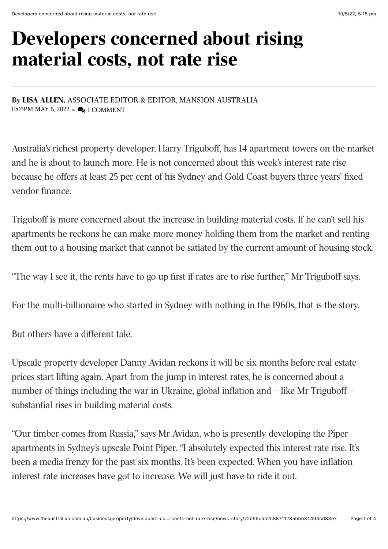## **Developers concerned about rising material costs, not rate rise**

**By [LISA ALLEN](https://www.theaustralian.com.au/author/Lisa+Allen),** ASSOCIATE EDITOR & EDITOR, MANSION AUSTRALIA 11:05PM MAY 6, 2022 •  $\bigcirc$  1 COMMENT

Australia's richest property developer, Harry Triguboff, has 14 apartment towers on the market and he is about to launch more. He is not concerned about this week's interest rate rise because he offers at least 25 per cent of his Sydney and Gold Coast buyers three years' fixed vendor finance.

Triguboff is more concerned about the increase in building material costs. If he can't sell his apartments he reckons he can make more money holding them from the market and renting them out to a housing market that cannot be satiated by the current amount of housing stock.

"The way I see it, the rents have to go up first if rates are to rise further,'' Mr Triguboff says.

For the multi-billionaire who started in Sydney with nothing in the 1960s, that is the story.

But others have a different tale.

Upscale property developer Danny Avidan reckons it will be six months before real estate prices start lifting again. Apart from the jump in interest rates, he is concerned about a number of things including the war in Ukraine, global inflation and – like Mr Triguboff – substantial rises in building material costs.

"Our timber comes from Russia," says Mr Avidan, who is presently developing the Piper apartments in Sydney's upscale Point Piper. "I absolutely expected this interest rate rise. It's been a media frenzy for the past six months. It's been expected. When you have inflation interest rate increases have got to increase. We will just have to ride it out.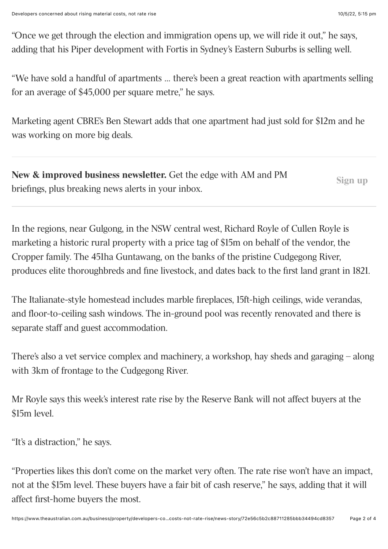"Once we get through the election and immigration opens up, we will ride it out," he says, adding that his Piper development with Fortis in Sydney's Eastern Suburbs is selling well.

"We have sold a handful of apartments … there's been a great reaction with apartments selling for an average of \$45,000 per square metre," he says.

Marketing agent CBRE's Ben Stewart adds that one apartment had just sold for \$12m and he was working on more big deals.

| <b>New &amp; improved business newsletter.</b> Get the edge with AM and PM | Sign up |
|----------------------------------------------------------------------------|---------|
| briefings, plus breaking news alerts in your inbox.                        |         |

In the regions, near Gulgong, in the NSW central west, Richard Royle of Cullen Royle is marketing a historic rural property with a price tag of \$15m on behalf of the vendor, the Cropper family. The 451ha Guntawang, on the banks of the pristine Cudgegong River, produces elite thoroughbreds and fine livestock, and dates back to the first land grant in 1821.

The Italianate-style homestead includes marble fireplaces, 15ft-high ceilings, wide verandas, and floor-to-ceiling sash windows. The in-ground pool was recently renovated and there is separate staff and guest accommodation.

There's also a vet service complex and machinery, a workshop, hay sheds and garaging – along with 3km of frontage to the Cudgegong River.

Mr Royle says this week's interest rate rise by the Reserve Bank will not affect buyers at the \$15m level.

"It's a distraction," he says.

"Properties likes this don't come on the market very often. The rate rise won't have an impact, not at the \$15m level. These buyers have a fair bit of cash reserve," he says, adding that it will affect first-home buyers the most.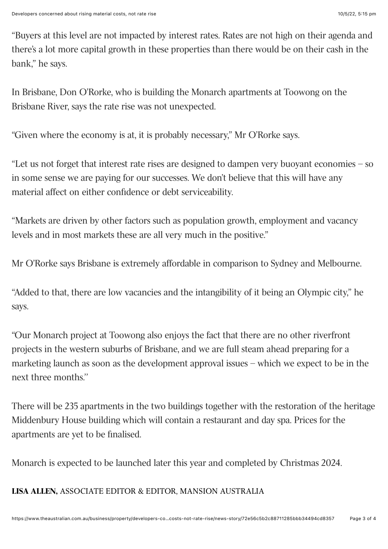"Buyers at this level are not impacted by interest rates. Rates are not high on their agenda and there's a lot more capital growth in these properties than there would be on their cash in the bank," he says.

In Brisbane, Don O'Rorke, who is building the Monarch apartments at Toowong on the Brisbane River, says the rate rise was not unexpected.

"Given where the economy is at, it is probably necessary," Mr O'Rorke says.

"Let us not forget that interest rate rises are designed to dampen very buoyant economies – so in some sense we are paying for our successes. We don't believe that this will have any material affect on either confidence or debt serviceability.

"Markets are driven by other factors such as population growth, employment and vacancy levels and in most markets these are all very much in the positive."

Mr O'Rorke says Brisbane is extremely affordable in comparison to Sydney and Melbourne.

"Added to that, there are low vacancies and the intangibility of it being an Olympic city," he says.

"Our Monarch project at Toowong also enjoys the fact that there are no other riverfront projects in the western suburbs of Brisbane, and we are full steam ahead preparing for a marketing launch as soon as the development approval issues – which we expect to be in the next three months.''

There will be 235 apartments in the two buildings together with the restoration of the heritage Middenbury House building which will contain a restaurant and day spa. Prices for the apartments are yet to be finalised.

Monarch is expected to be launched later this year and completed by Christmas 2024.

## **[LISA ALLEN,](https://www.theaustralian.com.au/author/Lisa+Allen)** ASSOCIATE EDITOR & EDITOR, MANSION AUSTRALIA